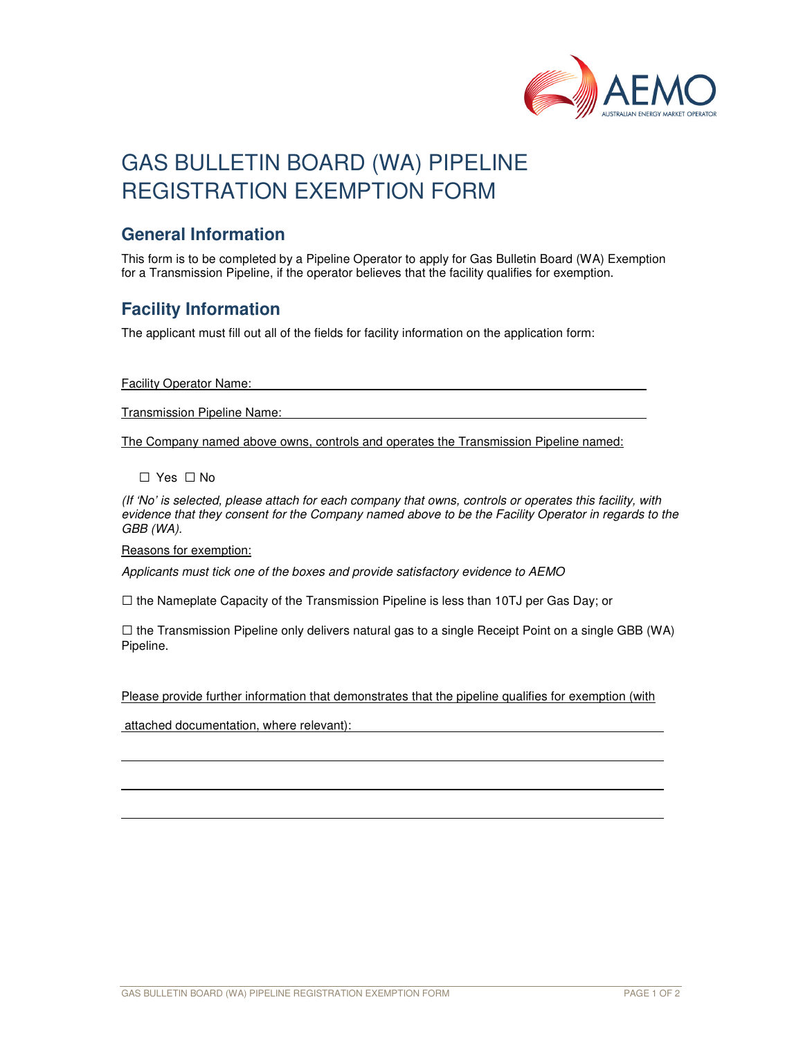

# GAS BULLETIN BOARD (WA) PIPELINE REGISTRATION EXEMPTION FORM

#### **General Information**

This form is to be completed by a Pipeline Operator to apply for Gas Bulletin Board (WA) Exemption for a Transmission Pipeline, if the operator believes that the facility qualifies for exemption.

### **Facility Information**

The applicant must fill out all of the fields for facility information on the application form:

Facility Operator Name:

Transmission Pipeline Name:

The Company named above owns, controls and operates the Transmission Pipeline named:

□ Yes □ No

(If 'No' is selected, please attach for each company that owns, controls or operates this facility, with evidence that they consent for the Company named above to be the Facility Operator in regards to the GBB (WA).

Reasons for exemption:

l

Applicants must tick one of the boxes and provide satisfactory evidence to AEMO

 $\square$  the Nameplate Capacity of the Transmission Pipeline is less than 10TJ per Gas Day; or

 $\square$  the Transmission Pipeline only delivers natural gas to a single Receipt Point on a single GBB (WA) Pipeline.

Please provide further information that demonstrates that the pipeline qualifies for exemption (with

attached documentation, where relevant):